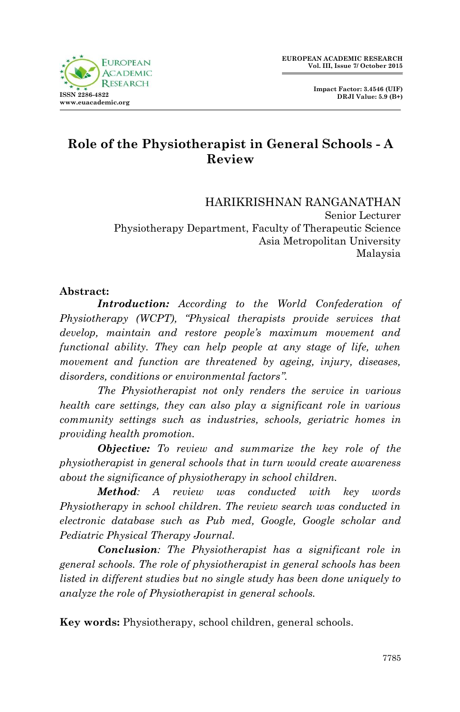

# **Role of the Physiotherapist in General Schools - A Review**

HARIKRISHNAN RANGANATHAN Senior Lecturer Physiotherapy Department, Faculty of Therapeutic Science Asia Metropolitan University Malaysia

#### **Abstract:**

*Introduction: According to the World Confederation of Physiotherapy (WCPT), "Physical therapists provide services that develop, maintain and restore people's maximum movement and functional ability. They can help people at any stage of life, when movement and function are threatened by ageing, injury, diseases, disorders, conditions or environmental factors".*

*The Physiotherapist not only renders the service in various health care settings, they can also play a significant role in various community settings such as industries, schools, geriatric homes in providing health promotion.*

*Objective: To review and summarize the key role of the physiotherapist in general schools that in turn would create awareness about the significance of physiotherapy in school children.*

*Method: A review was conducted with key words Physiotherapy in school children. The review search was conducted in electronic database such as Pub med, Google, Google scholar and Pediatric Physical Therapy Journal.*

*Conclusion: The Physiotherapist has a significant role in general schools. The role of physiotherapist in general schools has been listed in different studies but no single study has been done uniquely to analyze the role of Physiotherapist in general schools.* 

**Key words:** Physiotherapy, school children, general schools.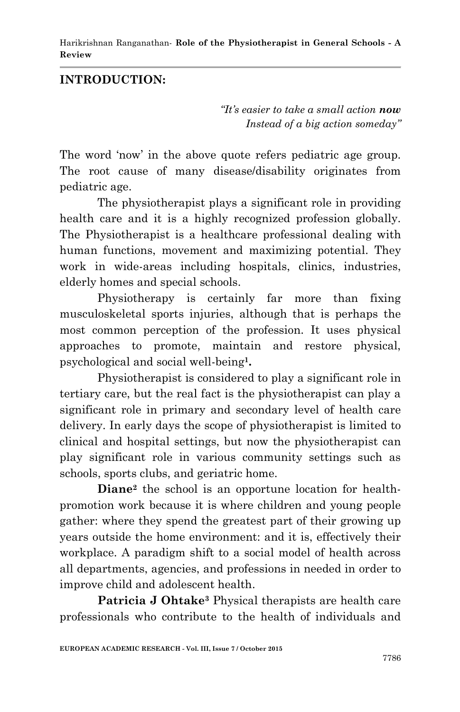# **INTRODUCTION:**

*"It's easier to take a small action now Instead of a big action someday"*

The word 'now' in the above quote refers pediatric age group. The root cause of many disease/disability originates from pediatric age.

The physiotherapist plays a significant role in providing health care and it is a highly recognized profession globally. The Physiotherapist is a healthcare professional dealing with human functions, movement and maximizing potential. They work in wide-areas including hospitals, clinics, industries, elderly homes and special schools.

Physiotherapy is certainly far more than fixing musculoskeletal sports injuries, although that is perhaps the most common perception of the profession. It uses physical approaches to promote, maintain and restore physical, psychological and social well-being**<sup>1</sup> .**

Physiotherapist is considered to play a significant role in tertiary care, but the real fact is the physiotherapist can play a significant role in primary and secondary level of health care delivery. In early days the scope of physiotherapist is limited to clinical and hospital settings, but now the physiotherapist can play significant role in various community settings such as schools, sports clubs, and geriatric home.

**Diane<sup>2</sup>** the school is an opportune location for healthpromotion work because it is where children and young people gather: where they spend the greatest part of their growing up years outside the home environment: and it is, effectively their workplace. A paradigm shift to a social model of health across all departments, agencies, and professions in needed in order to improve child and adolescent health.

**Patricia J Ohtake<sup>3</sup>** Physical therapists are health care professionals who contribute to the health of individuals and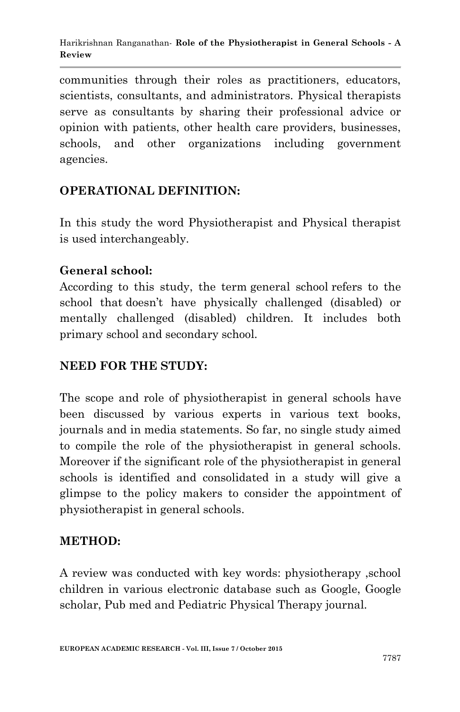communities through their roles as practitioners, educators, scientists, consultants, and administrators. Physical therapists serve as consultants by sharing their professional advice or opinion with patients, other health care providers, businesses, schools, and other organizations including government agencies.

# **OPERATIONAL DEFINITION:**

In this study the word Physiotherapist and Physical therapist is used interchangeably.

#### **General school:**

According to this study, the term general school refers to the school that doesn"t have physically challenged (disabled) or mentally challenged (disabled) children. It includes both primary school and secondary school.

# **NEED FOR THE STUDY:**

The scope and role of physiotherapist in general schools have been discussed by various experts in various text books, journals and in media statements. So far, no single study aimed to compile the role of the physiotherapist in general schools. Moreover if the significant role of the physiotherapist in general schools is identified and consolidated in a study will give a glimpse to the policy makers to consider the appointment of physiotherapist in general schools.

# **METHOD:**

A review was conducted with key words: physiotherapy ,school children in various electronic database such as Google, Google scholar, Pub med and Pediatric Physical Therapy journal.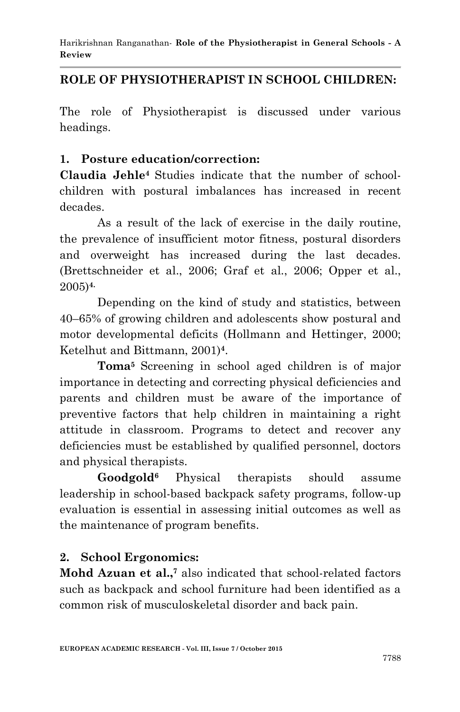# **ROLE OF PHYSIOTHERAPIST IN SCHOOL CHILDREN:**

The role of Physiotherapist is discussed under various headings.

#### **1. Posture education/correction:**

**Claudia Jehle<sup>4</sup>** Studies indicate that the number of schoolchildren with postural imbalances has increased in recent decades.

As a result of the lack of exercise in the daily routine, the prevalence of insufficient motor fitness, postural disorders and overweight has increased during the last decades. (Brettschneider et al., 2006; Graf et al., 2006; Opper et al., 2005)**4.**

Depending on the kind of study and statistics, between 40–65% of growing children and adolescents show postural and motor developmental deficits (Hollmann and Hettinger, 2000; Ketelhut and Bittmann, 2001)**<sup>4</sup>** .

**Toma<sup>5</sup>** Screening in school aged children is of major importance in detecting and correcting physical deficiencies and parents and children must be aware of the importance of preventive factors that help children in maintaining a right attitude in classroom. Programs to detect and recover any deficiencies must be established by qualified personnel, doctors and physical therapists.

**Goodgold<sup>6</sup>** Physical therapists should assume leadership in school-based backpack safety programs, follow-up evaluation is essential in assessing initial outcomes as well as the maintenance of program benefits.

# **2. School Ergonomics:**

Mohd Azuan et al.,<sup>7</sup> also indicated that school-related factors such as backpack and school furniture had been identified as a common risk of musculoskeletal disorder and back pain.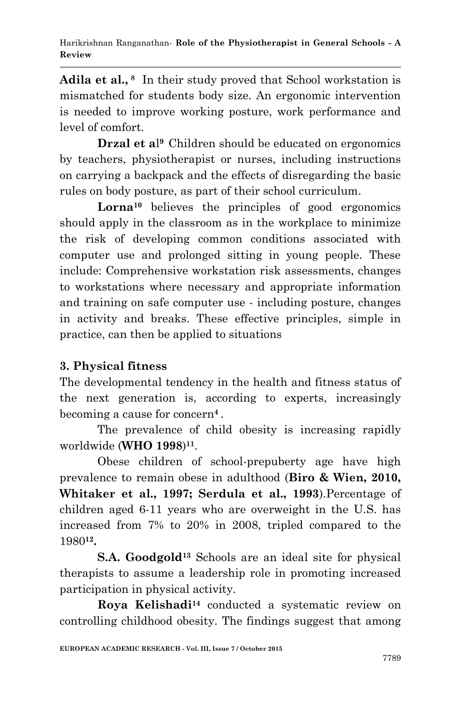**Adila et al., <sup>8</sup>** In their study proved that School workstation is mismatched for students body size. An ergonomic intervention is needed to improve working posture, work performance and level of comfort.

**Drzal et a**l **<sup>9</sup>** Children should be educated on ergonomics by teachers, physiotherapist or nurses, including instructions on carrying a backpack and the effects of disregarding the basic rules on body posture, as part of their school curriculum.

**Lorna<sup>10</sup>** believes the principles of good ergonomics should apply in the classroom as in the workplace to minimize the risk of developing common conditions associated with computer use and prolonged sitting in young people. These include: Comprehensive workstation risk assessments, changes to workstations where necessary and appropriate information and training on safe computer use - including posture, changes in activity and breaks. These effective principles, simple in practice, can then be applied to situations

# **3. Physical fitness**

The developmental tendency in the health and fitness status of the next generation is, according to experts, increasingly becoming a cause for concern**<sup>4</sup>** .

The prevalence of child obesity is increasing rapidly worldwide (**WHO 1998**) **11** .

Obese children of school-prepuberty age have high prevalence to remain obese in adulthood (**Biro & Wien, 2010, Whitaker et al., 1997; Serdula et al., 1993**).Percentage of children aged 6-11 years who are overweight in the U.S. has increased from 7% to 20% in 2008, tripled compared to the 1980**<sup>12</sup> .**

**S.A. Goodgold<sup>13</sup>** Schools are an ideal site for physical therapists to assume a leadership role in promoting increased participation in physical activity.

**Roya Kelishadi<sup>14</sup>** conducted a systematic review on controlling childhood obesity. The findings suggest that among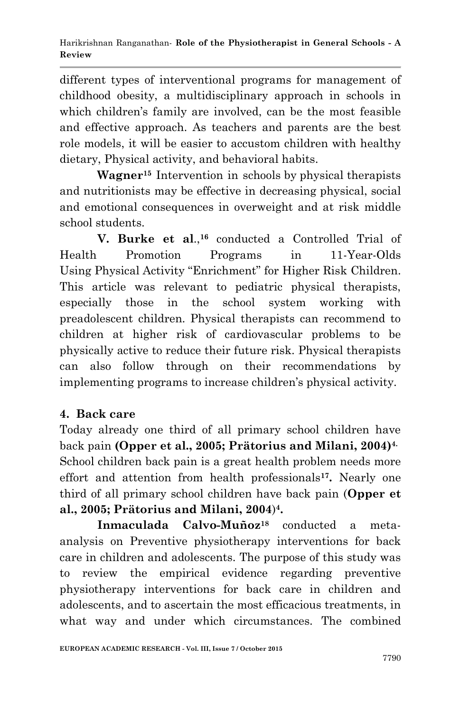different types of interventional programs for management of childhood obesity, a multidisciplinary approach in schools in which children"s family are involved, can be the most feasible and effective approach. As teachers and parents are the best role models, it will be easier to accustom children with healthy dietary, Physical activity, and behavioral habits.

**Wagner<sup>15</sup>** Intervention in schools by physical therapists and nutritionists may be effective in decreasing physical, social and emotional consequences in overweight and at risk middle school students.

**V. Burke et al**., **<sup>16</sup>** conducted a Controlled Trial of Health Promotion Programs in 11-Year-Olds Using Physical Activity "Enrichment" for Higher Risk Children. This article was relevant to pediatric physical therapists, especially those in the school system working with preadolescent children. Physical therapists can recommend to children at higher risk of cardiovascular problems to be physically active to reduce their future risk. Physical therapists can also follow through on their recommendations by implementing programs to increase children"s physical activity.

# **4. Back care**

Today already one third of all primary school children have back pain **(Opper et al., 2005; Prätorius and Milani, 2004)4.** School children back pain is a great health problem needs more effort and attention from health professionals**<sup>17</sup> .** Nearly one third of all primary school children have back pain (**Opper et al., 2005; Prätorius and Milani, 2004**) **4 .**

**Inmaculada Calvo-Muñoz<sup>18</sup>** conducted a metaanalysis on Preventive physiotherapy interventions for back care in children and adolescents. The purpose of this study was to review the empirical evidence regarding preventive physiotherapy interventions for back care in children and adolescents, and to ascertain the most efficacious treatments, in what way and under which circumstances. The combined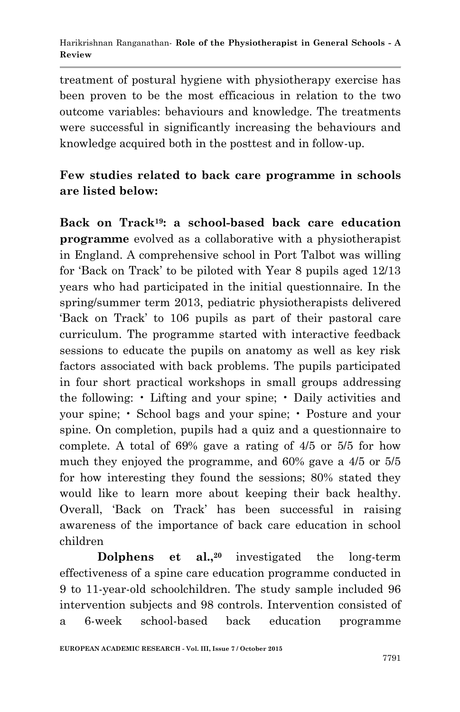treatment of postural hygiene with physiotherapy exercise has been proven to be the most efficacious in relation to the two outcome variables: behaviours and knowledge. The treatments were successful in significantly increasing the behaviours and knowledge acquired both in the posttest and in follow-up.

# **Few studies related to back care programme in schools are listed below:**

**Back on Track19: a school-based back care education programme** evolved as a collaborative with a physiotherapist in England. A comprehensive school in Port Talbot was willing for "Back on Track" to be piloted with Year 8 pupils aged 12/13 years who had participated in the initial questionnaire. In the spring/summer term 2013, pediatric physiotherapists delivered "Back on Track" to 106 pupils as part of their pastoral care curriculum. The programme started with interactive feedback sessions to educate the pupils on anatomy as well as key risk factors associated with back problems. The pupils participated in four short practical workshops in small groups addressing the following: • Lifting and your spine; • Daily activities and your spine; • School bags and your spine; • Posture and your spine. On completion, pupils had a quiz and a questionnaire to complete. A total of 69% gave a rating of 4/5 or 5/5 for how much they enjoyed the programme, and 60% gave a 4/5 or 5/5 for how interesting they found the sessions; 80% stated they would like to learn more about keeping their back healthy. Overall, "Back on Track" has been successful in raising awareness of the importance of back care education in school children

**Dolphens et al., <sup>20</sup>** investigated the long-term effectiveness of a spine care education programme conducted in 9 to 11-year-old schoolchildren. The study sample included 96 intervention subjects and 98 controls. Intervention consisted of a 6-week school-based back education programme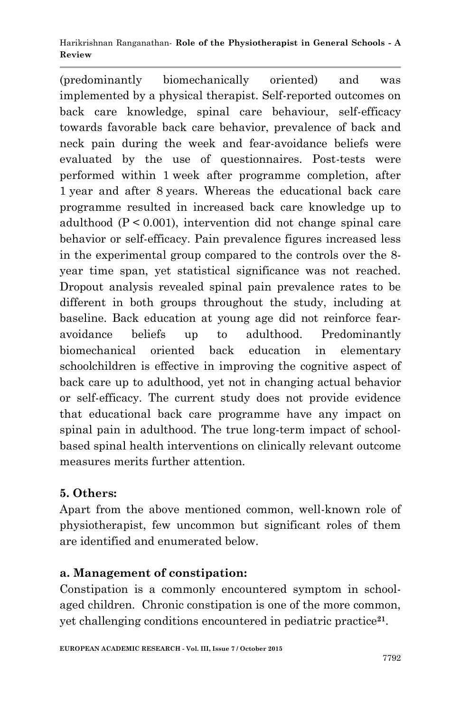(predominantly biomechanically oriented) and was implemented by a physical therapist. Self-reported outcomes on back care knowledge, spinal care behaviour, self-efficacy towards favorable back care behavior, prevalence of back and neck pain during the week and fear-avoidance beliefs were evaluated by the use of questionnaires. Post-tests were performed within 1 week after programme completion, after 1 year and after 8 years. Whereas the educational back care programme resulted in increased back care knowledge up to adulthood  $(P < 0.001)$ , intervention did not change spinal care behavior or self-efficacy. Pain prevalence figures increased less in the experimental group compared to the controls over the 8 year time span, yet statistical significance was not reached. Dropout analysis revealed spinal pain prevalence rates to be different in both groups throughout the study, including at baseline. Back education at young age did not reinforce fearavoidance beliefs up to adulthood. Predominantly biomechanical oriented back education in elementary schoolchildren is effective in improving the cognitive aspect of back care up to adulthood, yet not in changing actual behavior or self-efficacy. The current study does not provide evidence that educational back care programme have any impact on spinal pain in adulthood. The true long-term impact of schoolbased spinal health interventions on clinically relevant outcome measures merits further attention.

# **5. Others:**

Apart from the above mentioned common, well-known role of physiotherapist, few uncommon but significant roles of them are identified and enumerated below.

# **a. Management of constipation:**

Constipation is a commonly encountered symptom in schoolaged children. Chronic constipation is one of the more common, yet challenging conditions encountered in pediatric practice**<sup>21</sup>** .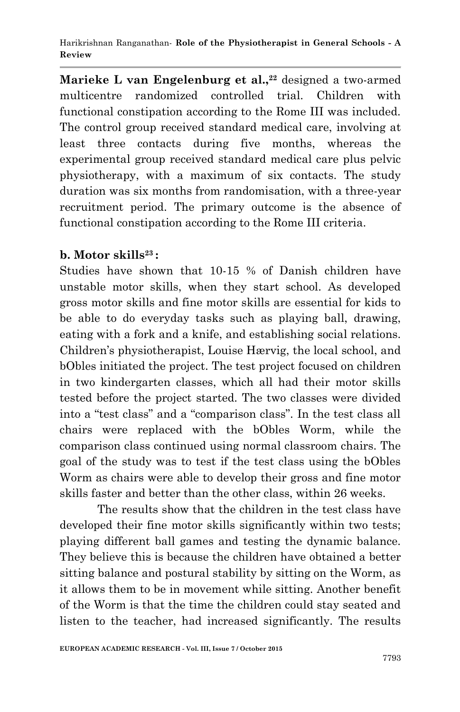**Marieke L van Engelenburg et al., <sup>22</sup>** designed a two-armed multicentre randomized controlled trial. Children with functional constipation according to the Rome III was included. The control group received standard medical care, involving at least three contacts during five months, whereas the experimental group received standard medical care plus pelvic physiotherapy, with a maximum of six contacts. The study duration was six months from randomisation, with a three-year recruitment period. The primary outcome is the absence of functional constipation according to the Rome III criteria.

# **b. Motor skills<sup>23</sup> :**

Studies have shown that 10-15 % of Danish children have unstable motor skills, when they start school. As developed gross motor skills and fine motor skills are essential for kids to be able to do everyday tasks such as playing ball, drawing, eating with a fork and a knife, and establishing social relations. Children"s physiotherapist, Louise Hærvig, the local school, and bObles initiated the project. The test project focused on children in two kindergarten classes, which all had their motor skills tested before the project started. The two classes were divided into a "test class" and a "comparison class". In the test class all chairs were replaced with the bObles Worm, while the comparison class continued using normal classroom chairs. The goal of the study was to test if the test class using the bObles Worm as chairs were able to develop their gross and fine motor skills faster and better than the other class, within 26 weeks.

The results show that the children in the test class have developed their fine motor skills significantly within two tests; playing different ball games and testing the dynamic balance. They believe this is because the children have obtained a better sitting balance and postural stability by sitting on the Worm, as it allows them to be in movement while sitting. Another benefit of the Worm is that the time the children could stay seated and listen to the teacher, had increased significantly. The results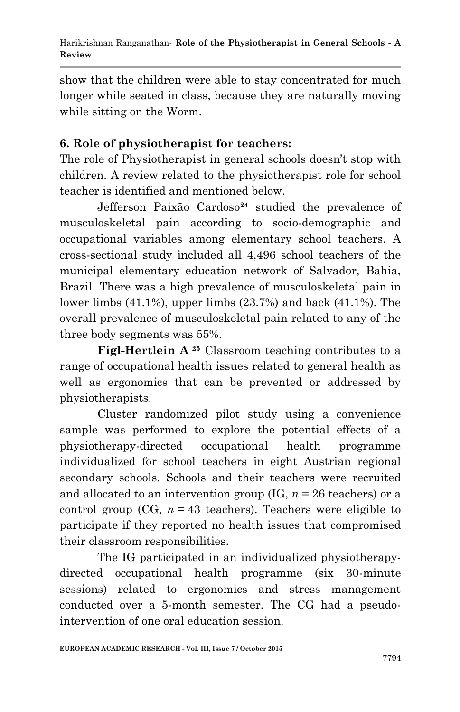show that the children were able to stay concentrated for much longer while seated in class, because they are naturally moving while sitting on the Worm.

# **6. Role of physiotherapist for teachers:**

The role of Physiotherapist in general schools doesn't stop with children. A review related to the physiotherapist role for school teacher is identified and mentioned below.

Jefferson Paixão Cardoso**<sup>24</sup>** studied the prevalence of musculoskeletal pain according to socio-demographic and occupational variables among elementary school teachers. A cross-sectional study included all 4,496 school teachers of the municipal elementary education network of Salvador, Bahia, Brazil. There was a high prevalence of musculoskeletal pain in lower limbs  $(41.1\%)$ , upper limbs  $(23.7\%)$  and back  $(41.1\%)$ . The overall prevalence of musculoskeletal pain related to any of the three body segments was 55%.

**Figl-Hertlein A <sup>25</sup>** Classroom teaching contributes to a range of occupational health issues related to general health as well as ergonomics that can be prevented or addressed by physiotherapists.

Cluster randomized pilot study using a convenience sample was performed to explore the potential effects of a physiotherapy-directed occupational health programme individualized for school teachers in eight Austrian regional secondary schools. Schools and their teachers were recruited and allocated to an intervention group (IG,  $n = 26$  teachers) or a control group (CG,  $n = 43$  teachers). Teachers were eligible to participate if they reported no health issues that compromised their classroom responsibilities.

The IG participated in an individualized physiotherapydirected occupational health programme (six 30-minute sessions) related to ergonomics and stress management conducted over a 5-month semester. The CG had a pseudointervention of one oral education session.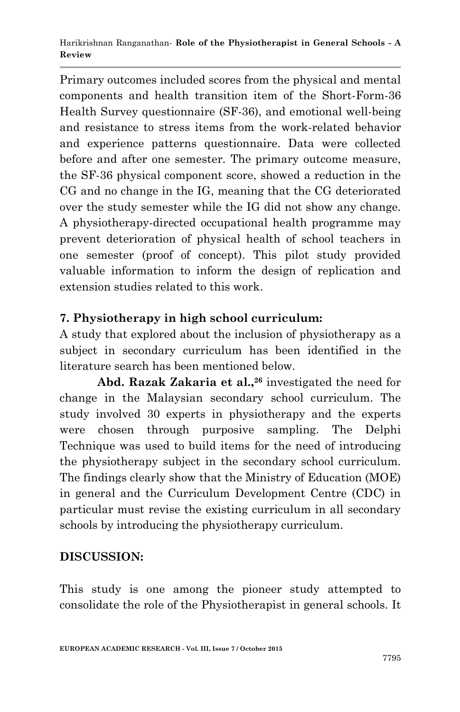Primary outcomes included scores from the physical and mental components and health transition item of the Short-Form-36 Health Survey questionnaire (SF-36), and emotional well-being and resistance to stress items from the work-related behavior and experience patterns questionnaire. Data were collected before and after one semester. The primary outcome measure, the SF-36 physical component score, showed a reduction in the CG and no change in the IG, meaning that the CG deteriorated over the study semester while the IG did not show any change. A physiotherapy-directed occupational health programme may prevent deterioration of physical health of school teachers in one semester (proof of concept). This pilot study provided valuable information to inform the design of replication and extension studies related to this work.

# **7. Physiotherapy in high school curriculum:**

A study that explored about the inclusion of physiotherapy as a subject in secondary curriculum has been identified in the literature search has been mentioned below.

**Abd. Razak Zakaria et al., 26** investigated the need for change in the Malaysian secondary school curriculum. The study involved 30 experts in physiotherapy and the experts were chosen through purposive sampling. The Delphi Technique was used to build items for the need of introducing the physiotherapy subject in the secondary school curriculum. The findings clearly show that the Ministry of Education (MOE) in general and the Curriculum Development Centre (CDC) in particular must revise the existing curriculum in all secondary schools by introducing the physiotherapy curriculum.

# **DISCUSSION:**

This study is one among the pioneer study attempted to consolidate the role of the Physiotherapist in general schools. It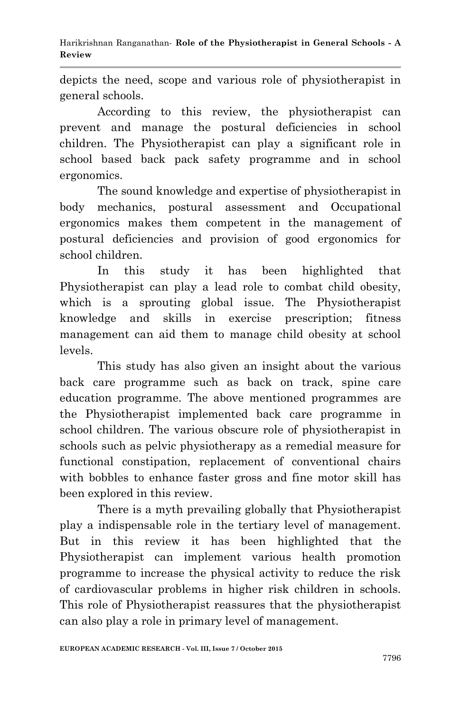depicts the need, scope and various role of physiotherapist in general schools.

According to this review, the physiotherapist can prevent and manage the postural deficiencies in school children. The Physiotherapist can play a significant role in school based back pack safety programme and in school ergonomics.

The sound knowledge and expertise of physiotherapist in body mechanics, postural assessment and Occupational ergonomics makes them competent in the management of postural deficiencies and provision of good ergonomics for school children.

In this study it has been highlighted that Physiotherapist can play a lead role to combat child obesity, which is a sprouting global issue. The Physiotherapist knowledge and skills in exercise prescription; fitness management can aid them to manage child obesity at school levels.

This study has also given an insight about the various back care programme such as back on track, spine care education programme. The above mentioned programmes are the Physiotherapist implemented back care programme in school children. The various obscure role of physiotherapist in schools such as pelvic physiotherapy as a remedial measure for functional constipation, replacement of conventional chairs with bobbles to enhance faster gross and fine motor skill has been explored in this review.

There is a myth prevailing globally that Physiotherapist play a indispensable role in the tertiary level of management. But in this review it has been highlighted that the Physiotherapist can implement various health promotion programme to increase the physical activity to reduce the risk of cardiovascular problems in higher risk children in schools. This role of Physiotherapist reassures that the physiotherapist can also play a role in primary level of management.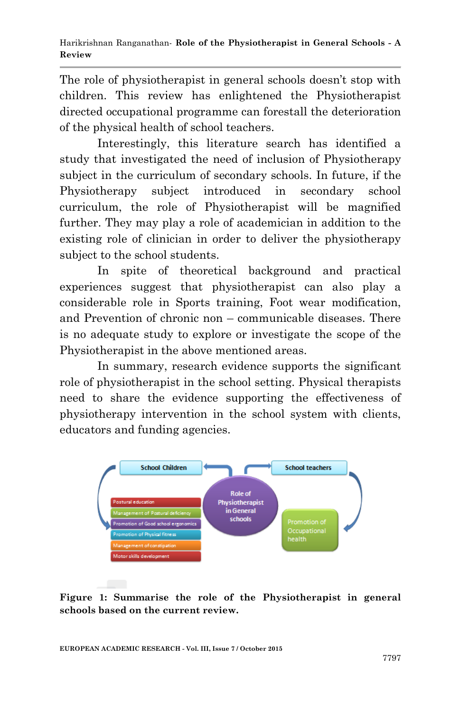The role of physiotherapist in general schools doesn't stop with children. This review has enlightened the Physiotherapist directed occupational programme can forestall the deterioration of the physical health of school teachers.

Interestingly, this literature search has identified a study that investigated the need of inclusion of Physiotherapy subject in the curriculum of secondary schools. In future, if the Physiotherapy subject introduced in secondary school curriculum, the role of Physiotherapist will be magnified further. They may play a role of academician in addition to the existing role of clinician in order to deliver the physiotherapy subject to the school students.

In spite of theoretical background and practical experiences suggest that physiotherapist can also play a considerable role in Sports training, Foot wear modification, and Prevention of chronic non – communicable diseases. There is no adequate study to explore or investigate the scope of the Physiotherapist in the above mentioned areas.

In summary, research evidence supports the significant role of physiotherapist in the school setting. Physical therapists need to share the evidence supporting the effectiveness of physiotherapy intervention in the school system with clients, educators and funding agencies.



**Figure 1: Summarise the role of the Physiotherapist in general schools based on the current review.**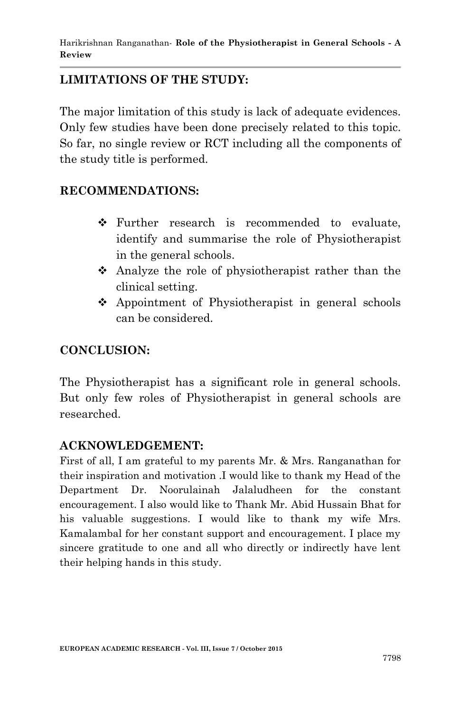# **LIMITATIONS OF THE STUDY:**

The major limitation of this study is lack of adequate evidences. Only few studies have been done precisely related to this topic. So far, no single review or RCT including all the components of the study title is performed.

# **RECOMMENDATIONS:**

- Further research is recommended to evaluate, identify and summarise the role of Physiotherapist in the general schools.
- Analyze the role of physiotherapist rather than the clinical setting.
- $\triangle$  Appointment of Physiotherapist in general schools can be considered.

#### **CONCLUSION:**

The Physiotherapist has a significant role in general schools. But only few roles of Physiotherapist in general schools are researched.

# **ACKNOWLEDGEMENT:**

First of all, I am grateful to my parents Mr. & Mrs. Ranganathan for their inspiration and motivation .I would like to thank my Head of the Department Dr. Noorulainah Jalaludheen for the constant encouragement. I also would like to Thank Mr. Abid Hussain Bhat for his valuable suggestions. I would like to thank my wife Mrs. Kamalambal for her constant support and encouragement. I place my sincere gratitude to one and all who directly or indirectly have lent their helping hands in this study.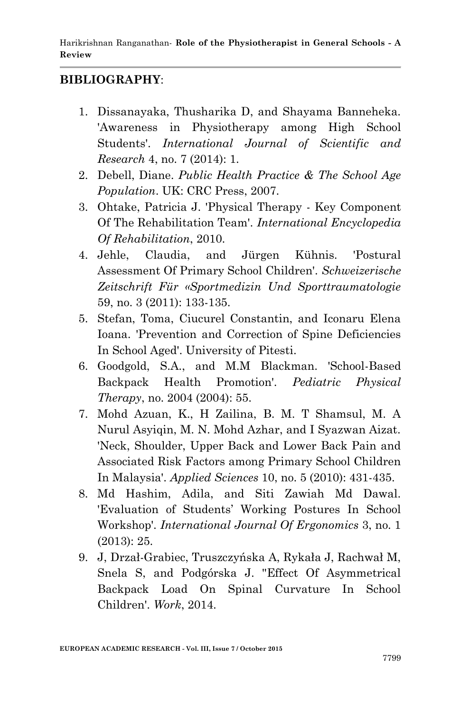# **BIBLIOGRAPHY**:

- 1. Dissanayaka, Thusharika D, and Shayama Banneheka. 'Awareness in Physiotherapy among High School Students'. *International Journal of Scientific and Research* 4, no. 7 (2014): 1.
- 2. Debell, Diane. *Public Health Practice & The School Age Population*. UK: CRC Press, 2007.
- 3. Ohtake, Patricia J. 'Physical Therapy Key Component Of The Rehabilitation Team'. *International Encyclopedia Of Rehabilitation*, 2010.
- 4. Jehle, Claudia, and Jürgen Kühnis. 'Postural Assessment Of Primary School Children'. *Schweizerische Zeitschrift Für «Sportmedizin Und Sporttraumatologie* 59, no. 3 (2011): 133-135.
- 5. Stefan, Toma, Ciucurel Constantin, and Iconaru Elena Ioana. 'Prevention and Correction of Spine Deficiencies In School Aged'. University of Pitesti.
- 6. Goodgold, S.A., and M.M Blackman. 'School-Based Backpack Health Promotion'. *Pediatric Physical Therapy*, no. 2004 (2004): 55.
- 7. Mohd Azuan, K., H Zailina, B. M. T Shamsul, M. A Nurul Asyiqin, M. N. Mohd Azhar, and I Syazwan Aizat. 'Neck, Shoulder, Upper Back and Lower Back Pain and Associated Risk Factors among Primary School Children In Malaysia'. *Applied Sciences* 10, no. 5 (2010): 431-435.
- 8. Md Hashim, Adila, and Siti Zawiah Md Dawal. 'Evaluation of Students" Working Postures In School Workshop'. *International Journal Of Ergonomics* 3, no. 1 (2013): 25.
- 9. J, Drzał-Grabiec, Truszczyńska A, Rykała J, Rachwał M, Snela S, and Podgórska J. ''Effect Of Asymmetrical Backpack Load On Spinal Curvature In School Children'. *Work*, 2014.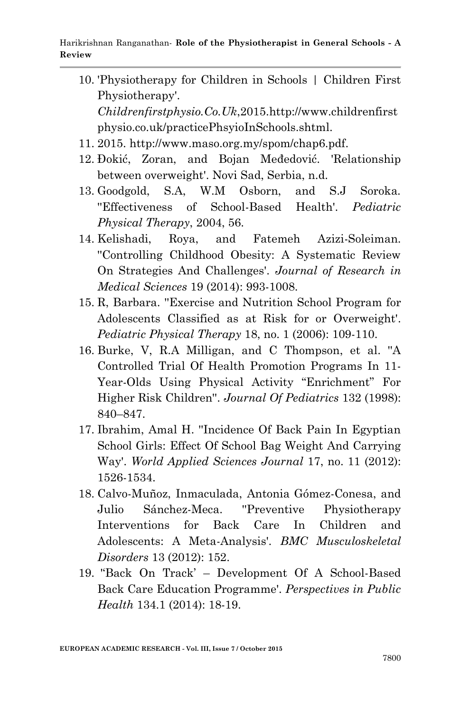- 10. 'Physiotherapy for Children in Schools | Children First Physiotherapy'. *Childrenfirstphysio.Co.Uk*,2015.http://www.childrenfirst physio.co.uk/practicePhsyioInSchools.shtml.
- 11. 2015. http://www.maso.org.my/spom/chap6.pdf.
- 12. Đokić, Zoran, and Bojan Međedović. 'Relationship between overweight'. Novi Sad, Serbia, n.d.
- 13. Goodgold, S.A, W.M Osborn, and S.J Soroka. ''Effectiveness of School-Based Health'. *Pediatric Physical Therapy*, 2004, 56.
- 14. Kelishadi, Roya, and Fatemeh Azizi-Soleiman. ''Controlling Childhood Obesity: A Systematic Review On Strategies And Challenges'. *Journal of Research in Medical Sciences* 19 (2014): 993-1008.
- 15. R, Barbara. ''Exercise and Nutrition School Program for Adolescents Classified as at Risk for or Overweight'. *Pediatric Physical Therapy* 18, no. 1 (2006): 109-110.
- 16. Burke, V, R.A Milligan, and C Thompson, et al. ''A Controlled Trial Of Health Promotion Programs In 11- Year-Olds Using Physical Activity "Enrichment" For Higher Risk Children''. *Journal Of Pediatrics* 132 (1998): 840–847.
- 17. Ibrahim, Amal H. ''Incidence Of Back Pain In Egyptian School Girls: Effect Of School Bag Weight And Carrying Way'. *World Applied Sciences Journal* 17, no. 11 (2012): 1526-1534.
- 18. Calvo-Muñoz, Inmaculada, Antonia Gómez-Conesa, and Julio Sánchez-Meca. ''Preventive Physiotherapy Interventions for Back Care In Children and Adolescents: A Meta-Analysis'. *BMC Musculoskeletal Disorders* 13 (2012): 152.
- 19. '"Back On Track" Development Of A School-Based Back Care Education Programme'. *Perspectives in Public Health* 134.1 (2014): 18-19.